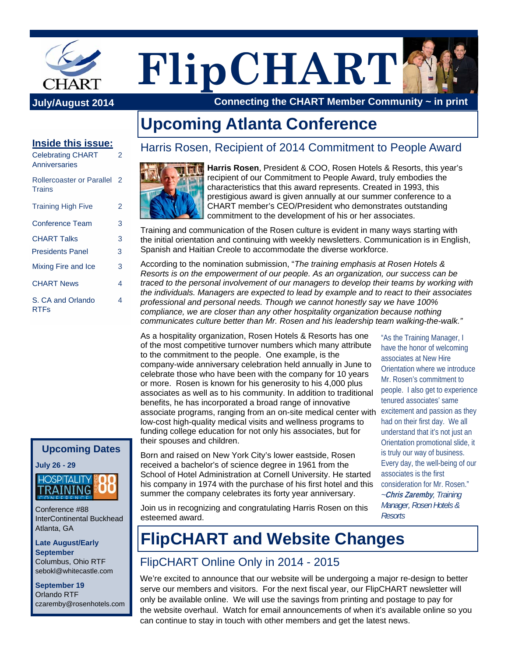

**FlipCHART**

**July/August 2014 Connecting the CHART Member Community ~ in print**

# **Upcoming Atlanta Conference**

#### **Inside this issue:**

| <b>Celebrating CHART</b><br>Anniversaries         | 2 |
|---------------------------------------------------|---|
| <b>Rollercoaster or Parallel</b><br><b>Trains</b> | 2 |
| <b>Training High Five</b>                         | 2 |
| Conference Team                                   | 3 |
| <b>CHART Talks</b>                                | 3 |
| <b>Presidents Panel</b>                           | 3 |
| Mixing Fire and Ice                               | 3 |
| <b>CHART News</b>                                 | 4 |
| S. CA and Orlando<br><b>RTFs</b>                  | 4 |

### **Upcoming Dates**

**July 26 - 29** 



Conference #88 InterContinental Buckhead Atlanta, GA

**Late August/Early September**  Columbus, Ohio RTF sebokl@whitecastle.com

**September 19**  Orlando RTF czaremby@rosenhotels.com

## Harris Rosen, Recipient of 2014 Commitment to People Award



**Harris Rosen**, President & COO, Rosen Hotels & Resorts, this year's recipient of our Commitment to People Award, truly embodies the characteristics that this award represents. Created in 1993, this prestigious award is given annually at our summer conference to a CHART member's CEO/President who demonstrates outstanding commitment to the development of his or her associates.

Training and communication of the Rosen culture is evident in many ways starting with the initial orientation and continuing with weekly newsletters. Communication is in English, Spanish and Haitian Creole to accommodate the diverse workforce.

According to the nomination submission, "*The training emphasis at Rosen Hotels & Resorts is on the empowerment of our people. As an organization, our success can be traced to the personal involvement of our managers to develop their teams by working with the individuals. Managers are expected to lead by example and to react to their associates professional and personal needs. Though we cannot honestly say we have 100% compliance, we are closer than any other hospitality organization because nothing communicates culture better than Mr. Rosen and his leadership team walking-the-walk."* 

As a hospitality organization, Rosen Hotels & Resorts has one of the most competitive turnover numbers which many attribute to the commitment to the people. One example, is the company-wide anniversary celebration held annually in June to celebrate those who have been with the company for 10 years or more. Rosen is known for his generosity to his 4,000 plus associates as well as to his community. In addition to traditional benefits, he has incorporated a broad range of innovative associate programs, ranging from an on-site medical center with excitement and passion as they low-cost high-quality medical visits and wellness programs to funding college education for not only his associates, but for their spouses and children.

Born and raised on New York City's lower eastside, Rosen received a bachelor's of science degree in 1961 from the School of Hotel Administration at Cornell University. He started his company in 1974 with the purchase of his first hotel and this summer the company celebrates its forty year anniversary.

"As the Training Manager, I have the honor of welcoming associates at New Hire Orientation where we introduce Mr. Rosen's commitment to people. I also get to experience tenured associates' same had on their first day. We all understand that it's not just an Orientation promotional slide, it is truly our way of business. Every day, the well-being of our associates is the first consideration for Mr. Rosen." *~***Chris Zaremby***, Training Manager, Rosen Hotels & Resorts*

Join us in recognizing and congratulating Harris Rosen on this esteemed award.

# **FlipCHART and Website Changes**

## FlipCHART Online Only in 2014 - 2015

We're excited to announce that our website will be undergoing a major re-design to better serve our members and visitors. For the next fiscal year, our FlipCHART newsletter will only be available online. We will use the savings from printing and postage to pay for the website overhaul. Watch for email announcements of when it's available online so you can continue to stay in touch with other members and get the latest news.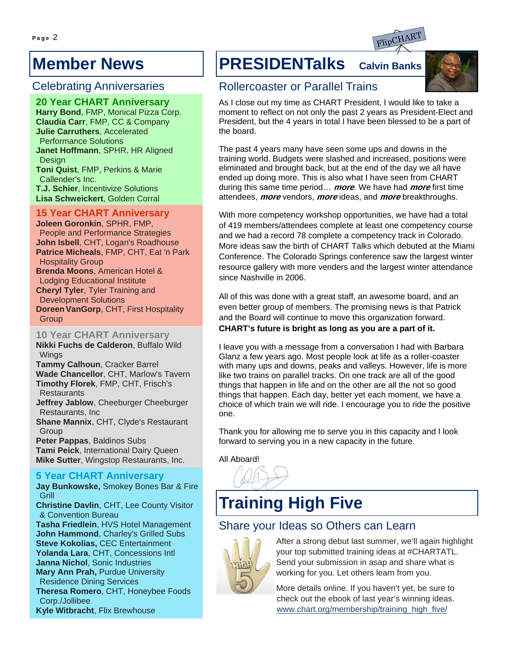## **Member News**

### Celebrating Anniversaries

**20 Year CHART Anniversary Harry Bond**, FMP, Monical Pizza Corp. **Claudia Carr**, FMP, CC & Company **Julie Carruthers**, Accelerated Performance Solutions **Janet Hoffmann**, SPHR, HR Aligned Design **Toni Quist**, FMP, Perkins & Marie Callender's Inc. **T.J. Schier**, Incentivize Solutions **Lisa Schweickert**, Golden Corral

# **15 Year CHART Anniversary Joleen Goronkin**, SPHR, FMP,

People and Performance Strategies **John Isbell**, CHT, Logan's Roadhouse **Patrice Micheals**, FMP, CHT, Eat 'n Park Hospitality Group **Brenda Moons**, American Hotel & Lodging Educational Institute

**Cheryl Tyler**, Tyler Training and Development Solutions **Doreen VanGorp**, CHT, First Hospitality **Group** 

**10 Year CHART Anniversary Nikki Fuchs de Calderon**, Buffalo Wild Wings

**Tammy Calhoun**, Cracker Barrel **Wade Chancellor**, CHT, Marlow's Tavern **Timothy Florek**, FMP, CHT, Frisch's **Restaurants** 

**Jeffrey Jablow**, Cheeburger Cheeburger Restaurants, Inc

**Shane Mannix**, CHT, Clyde's Restaurant **Group** 

**Peter Pappas**, Baldinos Subs **Tami Peick**, International Dairy Queen **Mike Sutter**, Wingstop Restaurants, Inc.

# **5 Year CHART Anniversary<br>Jay Bunkowske, Smokey Bones Bar & Fire**

**Grill** 

**Christine Davlin**, CHT, Lee County Visitor & Convention Bureau

**Tasha Friedlein**, HVS Hotel Management **John Hammond**, Charley's Grilled Subs **Steve Kokolias,** CEC Entertainment **Yolanda Lara**, CHT, Concessions Intl **Janna Nichol**, Sonic Industries **Mary Ann Prah, Purdue University** Residence Dining Services **Theresa Romero**, CHT, Honeybee Foods Corp./Jollibee **Kyle Witbracht**, Flix Brewhouse

# **PRESIDENTalks Calvin Banks**



### Rollercoaster or Parallel Trains

As I close out my time as CHART President, I would like to take a moment to reflect on not only the past 2 years as President-Elect and President, but the 4 years in total I have been blessed to be a part of the board.

The past 4 years many have seen some ups and downs in the training world. Budgets were slashed and increased, positions were eliminated and brought back, but at the end of the day we all have ended up doing more. This is also what I have seen from CHART during this same time period… **more**. We have had **more** first time attendees, **more** vendors, **more** ideas, and **more** breakthroughs.

With more competency workshop opportunities, we have had a total of 419 members/attendees complete at least one competency course and we had a record 78 complete a competency track in Colorado. More ideas saw the birth of CHART Talks which debuted at the Miami Conference. The Colorado Springs conference saw the largest winter resource gallery with more venders and the largest winter attendance since Nashville in 2006.

All of this was done with a great staff, an awesome board, and an even better group of members. The promising news is that Patrick and the Board will continue to move this organization forward. **CHART's future is bright as long as you are a part of it.**

I leave you with a message from a conversation I had with Barbara Glanz a few years ago. Most people look at life as a roller-coaster with many ups and downs, peaks and valleys. However, life is more like two trains on parallel tracks. On one track are all of the good things that happen in life and on the other are all the not so good things that happen. Each day, better yet each moment, we have a choice of which train we will ride. I encourage you to ride the positive one.

Thank you for allowing me to serve you in this capacity and I look forward to serving you in a new capacity in the future.

All Aboard!

# **Training High Five**

### Share your Ideas so Others can Learn



After a strong debut last summer, we'll again highlight your top submitted training ideas at #CHARTATL. Send your submission in asap and share what is working for you. Let others learn from you.

More details online. If you haven't yet, be sure to check out the ebook of last year's winning ideas. www.chart.org/membership/training\_high\_five/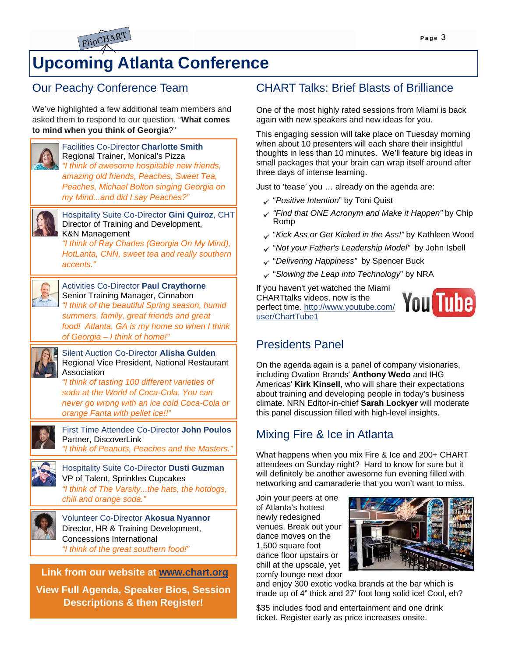

# **Upcoming Atlanta Conference**

## Our Peachy Conference Team

We've highlighted a few additional team members and asked them to respond to our question, "**What comes to mind when you think of Georgia**?"



Facilities Co-Director **Charlotte Smith** Regional Trainer, Monical's Pizza *"I think of awesome hospitable new friends, amazing old friends, Peaches, Sweet Tea, Peaches, Michael Bolton singing Georgia on my Mind...and did I say Peaches?"* 



Hospitality Suite Co-Director **Gini Quiroz**, CHT Director of Training and Development, K&N Management

*"I think of Ray Charles (Georgia On My Mind), HotLanta, CNN, sweet tea and really southern accents."* 



#### Activities Co-Director **Paul Craythorne** Senior Training Manager, Cinnabon *"I think of the beautiful Spring season, humid*

*summers, family, great friends and great food! Atlanta, GA is my home so when I think of Georgia – I think of home!"* 



Silent Auction Co-Director **Alisha Gulden** Regional Vice President, National Restaurant **Association** 

*"I think of tasting 100 different varieties of soda at the World of Coca-Cola. You can never go wrong with an ice cold Coca-Cola or orange Fanta with pellet ice!!"* 



First Time Attendee Co-Director **John Poulos** Partner, DiscoverLink *"I think of Peanuts, Peaches and the Masters."* 



Hospitality Suite Co-Director **Dusti Guzman**  VP of Talent, Sprinkles Cupcakes *"I think of The Varsity...the hats, the hotdogs, chili and orange soda."* 



Volunteer Co-Director **Akosua Nyannor**  Director, HR & Training Development, Concessions International *"I think of the great southern food!"* 

#### **Link from our website at www.chart.org**

**View Full Agenda, Speaker Bios, Session Descriptions & then Register!**

## CHART Talks: Brief Blasts of Brilliance

One of the most highly rated sessions from Miami is back again with new speakers and new ideas for you.

This engaging session will take place on Tuesday morning when about 10 presenters will each share their insightful thoughts in less than 10 minutes. We'll feature big ideas in small packages that your brain can wrap itself around after three days of intense learning.

Just to 'tease' you … already on the agenda are:

- "*Positive Intention*" by Toni Quist
- *"Find that ONE Acronym and Make it Happen"* by Chip Romp
- "*Kick Ass or Get Kicked in the Ass!"* by Kathleen Wood
- "*Not your Father's Leadership Model"* by John Isbell
- "*Delivering Happiness"* by Spencer Buck
- "*Slowing the Leap into Technology*" by NRA

If you haven't yet watched the Miami CHARTtalks videos, now is the perfect time. http://www.youtube.com/ user/ChartTube1



## Presidents Panel

On the agenda again is a panel of company visionaries, including Ovation Brands' **Anthony Wedo** and IHG Americas' **Kirk Kinsell**, who will share their expectations about training and developing people in today's business climate. NRN Editor-in-chief **Sarah Lockyer** will moderate this panel discussion filled with high-level insights.

## Mixing Fire & Ice in Atlanta

What happens when you mix Fire & Ice and 200+ CHART attendees on Sunday night? Hard to know for sure but it will definitely be another awesome fun evening filled with networking and camaraderie that you won't want to miss.

Join your peers at one of Atlanta's hottest newly redesigned venues. Break out your dance moves on the 1,500 square foot dance floor upstairs or chill at the upscale, yet comfy lounge next door



and enjoy 300 exotic vodka brands at the bar which is made up of 4" thick and 27' foot long solid ice! Cool, eh?

\$35 includes food and entertainment and one drink ticket. Register early as price increases onsite.